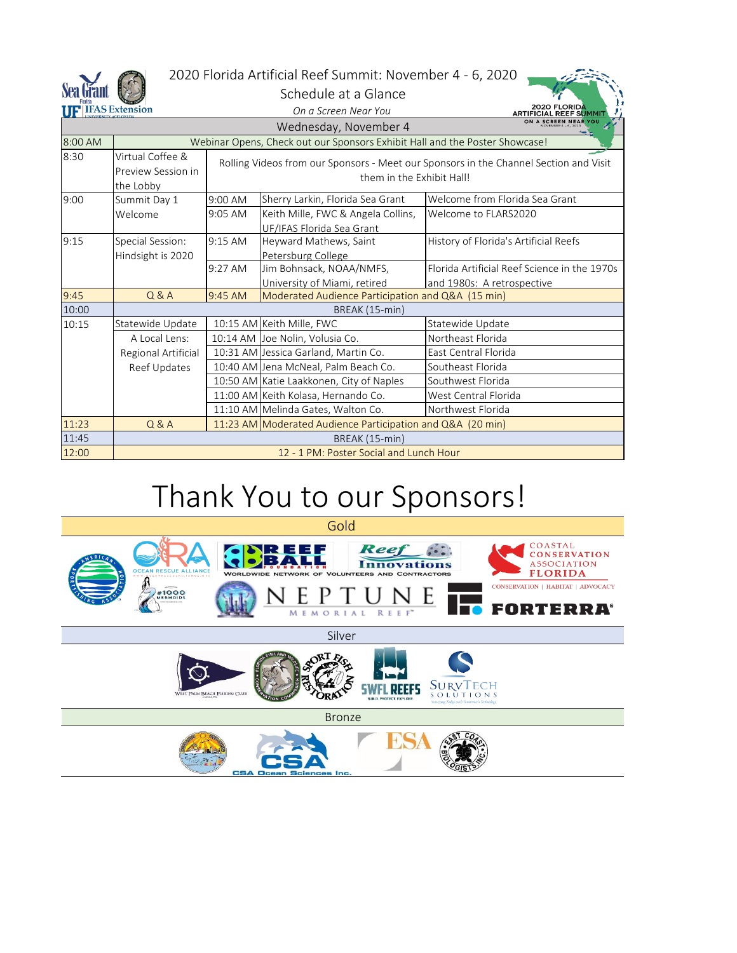

#### 2020 Florida Artificial Reef Summit: November 4 - 6, 2020

Schedule at a Glance

| <b>UF IFAS Extension</b>                  |                                                     | On a Screen Near You                                                                                               |                                                                 | <b>2020 FLORIDA</b><br><b>ARTIFICIAL REEF SUMMIT</b>                       |  |  |  |
|-------------------------------------------|-----------------------------------------------------|--------------------------------------------------------------------------------------------------------------------|-----------------------------------------------------------------|----------------------------------------------------------------------------|--|--|--|
| ON A SCREEN NEAR<br>Wednesday, November 4 |                                                     |                                                                                                                    |                                                                 |                                                                            |  |  |  |
| 8:00 AM                                   |                                                     | Webinar Opens, Check out our Sponsors Exhibit Hall and the Poster Showcase!                                        |                                                                 |                                                                            |  |  |  |
| 8:30                                      | Virtual Coffee &<br>Preview Session in<br>the Lobby | Rolling Videos from our Sponsors - Meet our Sponsors in the Channel Section and Visit<br>them in the Exhibit Hall! |                                                                 |                                                                            |  |  |  |
| 9:00                                      | Summit Day 1                                        | $9:00$ AM                                                                                                          | Sherry Larkin, Florida Sea Grant                                | Welcome from Florida Sea Grant                                             |  |  |  |
|                                           | Welcome                                             | 9:05 AM                                                                                                            | Keith Mille, FWC & Angela Collins,<br>UF/IFAS Florida Sea Grant | Welcome to FLARS2020                                                       |  |  |  |
| 9:15                                      | Special Session:<br>Hindsight is 2020               | 9:15 AM                                                                                                            | Heyward Mathews, Saint<br>Petersburg College                    | History of Florida's Artificial Reefs                                      |  |  |  |
|                                           |                                                     | $9:27$ AM                                                                                                          | Jim Bohnsack, NOAA/NMFS,<br>University of Miami, retired        | Florida Artificial Reef Science in the 1970s<br>and 1980s: A retrospective |  |  |  |
| 9:45                                      | Q & A                                               | 9:45 AM                                                                                                            | Moderated Audience Participation and Q&A (15 min)               |                                                                            |  |  |  |
| 10:00                                     | BREAK (15-min)                                      |                                                                                                                    |                                                                 |                                                                            |  |  |  |
| 10:15                                     | Statewide Update                                    |                                                                                                                    | 10:15 AM Keith Mille, FWC                                       | Statewide Update                                                           |  |  |  |
|                                           | A Local Lens:                                       |                                                                                                                    | 10:14 AM Joe Nolin, Volusia Co.                                 | Northeast Florida                                                          |  |  |  |
|                                           | Regional Artificial                                 |                                                                                                                    | 10:31 AM Jessica Garland, Martin Co.                            | East Central Florida                                                       |  |  |  |
|                                           | Reef Updates                                        |                                                                                                                    | 10:40 AM Jena McNeal, Palm Beach Co.                            | Southeast Florida                                                          |  |  |  |
|                                           |                                                     |                                                                                                                    | 10:50 AM Katie Laakkonen, City of Naples                        | Southwest Florida                                                          |  |  |  |
|                                           |                                                     |                                                                                                                    | 11:00 AM Keith Kolasa, Hernando Co.                             | West Central Florida                                                       |  |  |  |
|                                           |                                                     |                                                                                                                    | 11:10 AM Melinda Gates, Walton Co.                              | Northwest Florida                                                          |  |  |  |
| 11:23                                     | Q & A                                               | 11:23 AM Moderated Audience Participation and Q&A (20 min)                                                         |                                                                 |                                                                            |  |  |  |
| 11:45                                     | BREAK (15-min)                                      |                                                                                                                    |                                                                 |                                                                            |  |  |  |
| 12:00                                     | 12 - 1 PM: Poster Social and Lunch Hour             |                                                                                                                    |                                                                 |                                                                            |  |  |  |

# Thank You to our Sponsors!

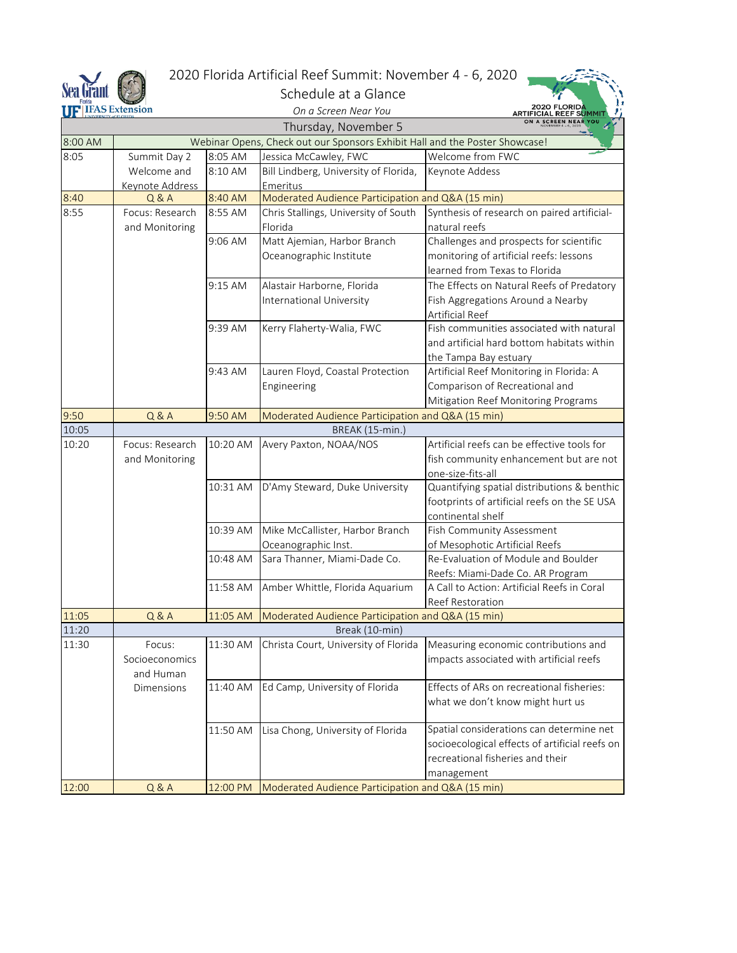

### 2020 Florida Artificial Reef Summit: November 4 - 6, 2020

1772  $\mathscr{G}$ 

| <b>Sea Grant</b> |                        |           | Schedule at a Glance                                                        |                                                |
|------------------|------------------------|-----------|-----------------------------------------------------------------------------|------------------------------------------------|
|                  | <b>FIFAS Extension</b> |           | On a Screen Near You                                                        | 2020 FLORID<br>ARTIFICIAL REEF SUMMIT          |
|                  |                        |           | Thursday, November 5                                                        |                                                |
| 8:00 AM          |                        |           | Webinar Opens, Check out our Sponsors Exhibit Hall and the Poster Showcase! |                                                |
| 8:05             | Summit Day 2           | 8:05 AM   | Jessica McCawley, FWC                                                       | Welcome from FWC                               |
|                  | Welcome and            | 8:10 AM   | Bill Lindberg, University of Florida,                                       | Keynote Addess                                 |
|                  | Keynote Address        |           | Emeritus                                                                    |                                                |
| 8:40             | Q & A                  | 8:40 AM   | Moderated Audience Participation and Q&A (15 min)                           |                                                |
| 8:55             | Focus: Research        | 8:55 AM   | Chris Stallings, University of South                                        | Synthesis of research on paired artificial-    |
|                  | and Monitoring         |           | Florida                                                                     | natural reefs                                  |
|                  |                        | $9:06$ AM | Matt Ajemian, Harbor Branch                                                 | Challenges and prospects for scientific        |
|                  |                        |           | Oceanographic Institute                                                     | monitoring of artificial reefs: lessons        |
|                  |                        |           |                                                                             | learned from Texas to Florida                  |
|                  |                        | 9:15 AM   | Alastair Harborne, Florida                                                  | The Effects on Natural Reefs of Predatory      |
|                  |                        |           | International University                                                    | Fish Aggregations Around a Nearby              |
|                  |                        |           |                                                                             | Artificial Reef                                |
|                  |                        | 9:39 AM   | Kerry Flaherty-Walia, FWC                                                   | Fish communities associated with natural       |
|                  |                        |           |                                                                             | and artificial hard bottom habitats within     |
|                  |                        |           |                                                                             | the Tampa Bay estuary                          |
|                  |                        | 9:43 AM   | Lauren Floyd, Coastal Protection                                            | Artificial Reef Monitoring in Florida: A       |
|                  |                        |           | Engineering                                                                 | Comparison of Recreational and                 |
|                  |                        |           |                                                                             | Mitigation Reef Monitoring Programs            |
| 9:50             | Q & A                  | 9:50 AM   | Moderated Audience Participation and Q&A (15 min)                           |                                                |
| 10:05            |                        |           | BREAK (15-min.)                                                             |                                                |
| 10:20            | Focus: Research        | 10:20 AM  | Avery Paxton, NOAA/NOS                                                      | Artificial reefs can be effective tools for    |
|                  | and Monitoring         |           |                                                                             | fish community enhancement but are not         |
|                  |                        |           |                                                                             | one-size-fits-all                              |
|                  |                        | 10:31 AM  | D'Amy Steward, Duke University                                              | Quantifying spatial distributions & benthic    |
|                  |                        |           |                                                                             | footprints of artificial reefs on the SE USA   |
|                  |                        |           |                                                                             | continental shelf                              |
|                  |                        | 10:39 AM  | Mike McCallister, Harbor Branch                                             | Fish Community Assessment                      |
|                  |                        |           | Oceanographic Inst.                                                         | of Mesophotic Artificial Reefs                 |
|                  |                        | 10:48 AM  | Sara Thanner, Miami-Dade Co.                                                | Re-Evaluation of Module and Boulder            |
|                  |                        |           |                                                                             | Reefs: Miami-Dade Co. AR Program               |
|                  |                        | 11:58 AM  | Amber Whittle, Florida Aquarium                                             | A Call to Action: Artificial Reefs in Coral    |
| 11:05            | Q & A                  |           |                                                                             | <b>Reef Restoration</b>                        |
| 11:20            |                        | 11:05 AM  | Moderated Audience Participation and Q&A (15 min)<br>Break (10-min)         |                                                |
|                  | Focus:                 | 11:30 AM  | Christa Court, University of Florida                                        | Measuring economic contributions and           |
| 11:30            | Socioeconomics         |           |                                                                             | impacts associated with artificial reefs       |
|                  | and Human              |           |                                                                             |                                                |
|                  | Dimensions             | 11:40 AM  | Ed Camp, University of Florida                                              | Effects of ARs on recreational fisheries:      |
|                  |                        |           |                                                                             | what we don't know might hurt us               |
|                  |                        |           |                                                                             |                                                |
|                  |                        | 11:50 AM  | Lisa Chong, University of Florida                                           | Spatial considerations can determine net       |
|                  |                        |           |                                                                             | socioecological effects of artificial reefs on |
|                  |                        |           |                                                                             | recreational fisheries and their               |
|                  |                        |           |                                                                             | management                                     |
| 12:00            | Q & A                  | 12:00 PM  | Moderated Audience Participation and Q&A (15 min)                           |                                                |